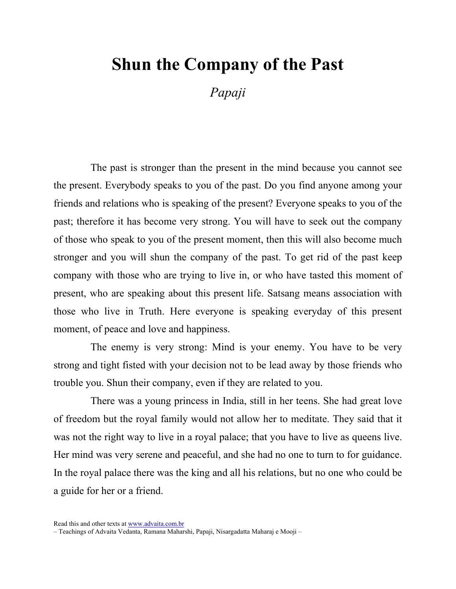## Shun the Company of the Past

Papaji

The past is stronger than the present in the mind because you cannot see the present. Everybody speaks to you of the past. Do you find anyone among your friends and relations who is speaking of the present? Everyone speaks to you of the past; therefore it has become very strong. You will have to seek out the company of those who speak to you of the present moment, then this will also become much stronger and you will shun the company of the past. To get rid of the past keep company with those who are trying to live in, or who have tasted this moment of present, who are speaking about this present life. Satsang means association with those who live in Truth. Here everyone is speaking everyday of this present moment, of peace and love and happiness.

The enemy is very strong: Mind is your enemy. You have to be very strong and tight fisted with your decision not to be lead away by those friends who trouble you. Shun their company, even if they are related to you.

There was a young princess in India, still in her teens. She had great love of freedom but the royal family would not allow her to meditate. They said that it was not the right way to live in a royal palace; that you have to live as queens live. Her mind was very serene and peaceful, and she had no one to turn to for guidance. In the royal palace there was the king and all his relations, but no one who could be a guide for her or a friend.

Read this and other texts at www.advaita.com.br

<sup>–</sup> Teachings of Advaita Vedanta, Ramana Maharshi, Papaji, Nisargadatta Maharaj e Mooji –